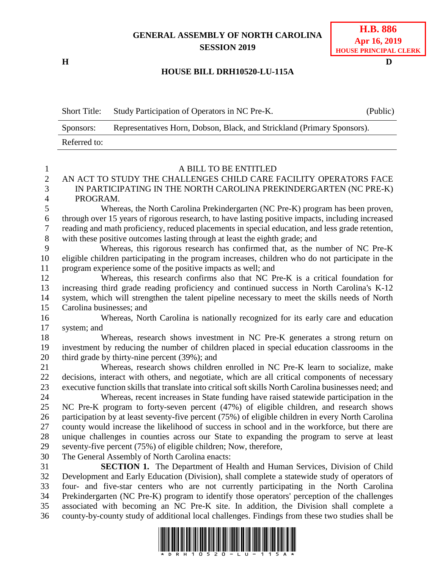## **GENERAL ASSEMBLY OF NORTH CAROLINA SESSION 2019**

**H D**

## **H.B. 886 Apr 16, 2019 HOUSE PRINCIPAL CLERK**

## **HOUSE BILL DRH10520-LU-115A**

Short Title: Study Participation of Operators in NC Pre-K. (Public) Sponsors: Representatives Horn, Dobson, Black, and Strickland (Primary Sponsors). Referred to:

1 A BILL TO BE ENTITLED<br>2 AN ACT TO STUDY THE CHALLENGES CHILD CARE I AN ACT TO STUDY THE CHALLENGES CHILD CARE FACILITY OPERATORS FACE IN PARTICIPATING IN THE NORTH CAROLINA PREKINDERGARTEN (NC PRE-K) PROGRAM. Whereas, the North Carolina Prekindergarten (NC Pre-K) program has been proven, through over 15 years of rigorous research, to have lasting positive impacts, including increased reading and math proficiency, reduced placements in special education, and less grade retention, with these positive outcomes lasting through at least the eighth grade; and Whereas, this rigorous research has confirmed that, as the number of NC Pre-K eligible children participating in the program increases, children who do not participate in the program experience some of the positive impacts as well; and Whereas, this research confirms also that NC Pre-K is a critical foundation for increasing third grade reading proficiency and continued success in North Carolina's K-12 system, which will strengthen the talent pipeline necessary to meet the skills needs of North Carolina businesses; and Whereas, North Carolina is nationally recognized for its early care and education system; and 18 Whereas, research shows investment in NC Pre-K generates a strong return on investment by reducing the number of children placed in special education classrooms in the third grade by thirty-nine percent (39%); and 21 Whereas, research shows children enrolled in NC Pre-K learn to socialize, make decisions, interact with others, and negotiate, which are all critical components of necessary executive function skills that translate into critical soft skills North Carolina businesses need; and Whereas, recent increases in State funding have raised statewide participation in the NC Pre-K program to forty-seven percent (47%) of eligible children, and research shows participation by at least seventy-five percent (75%) of eligible children in every North Carolina county would increase the likelihood of success in school and in the workforce, but there are unique challenges in counties across our State to expanding the program to serve at least seventy-five percent (75%) of eligible children; Now, therefore, The General Assembly of North Carolina enacts: **SECTION 1.** The Department of Health and Human Services, Division of Child Development and Early Education (Division), shall complete a statewide study of operators of four- and five-star centers who are not currently participating in the North Carolina Prekindergarten (NC Pre-K) program to identify those operators' perception of the challenges associated with becoming an NC Pre-K site. In addition, the Division shall complete a county-by-county study of additional local challenges. Findings from these two studies shall be